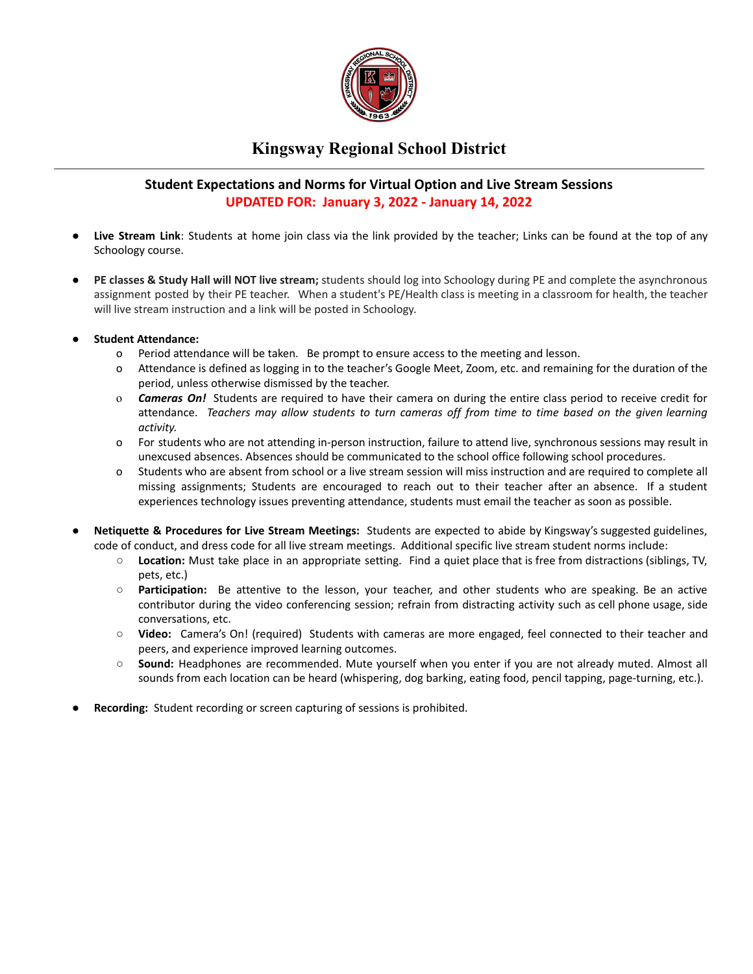

## **Kingsway Regional School District**

### **Student Expectations and Norms for Virtual Option and Live Stream Sessions UPDATED FOR: January 3, 2022 - January 14, 2022**

- **Live Stream Link**: Students at home join class via the link provided by the teacher; Links can be found at the top of any Schoology course.
- **PE classes & Study Hall will NOT live stream;** students should log into Schoology during PE and complete the asynchronous assignment posted by their PE teacher. When a student's PE/Health class is meeting in a classroom for health, the teacher will live stream instruction and a link will be posted in Schoology.
- **Student Attendance:**
	- o Period attendance will be taken. Be prompt to ensure access to the meeting and lesson.
	- o Attendance is defined as logging in to the teacher's Google Meet, Zoom, etc. and remaining for the duration of the period, unless otherwise dismissed by the teacher.
	- o *Cameras On!* Students are required to have their camera on during the entire class period to receive credit for attendance. *Teachers may allow students to turn cameras off from time to time based on the given learning activity.*
	- o For students who are not attending in-person instruction, failure to attend live, synchronous sessions may result in unexcused absences. Absences should be communicated to the school office following school procedures.
	- o Students who are absent from school or a live stream session will miss instruction and are required to complete all missing assignments; Students are encouraged to reach out to their teacher after an absence. If a student experiences technology issues preventing attendance, students must email the teacher as soon as possible.
- **● Netiquette & Procedures for Live Stream Meetings:** Students are expected to abide by Kingsway's suggested guidelines, code of conduct, and dress code for all live stream meetings. Additional specific live stream student norms include:
	- **Location:** Must take place in an appropriate setting. Find a quiet place that is free from distractions (siblings, TV, pets, etc.)
	- **Participation:** Be attentive to the lesson, your teacher, and other students who are speaking. Be an active contributor during the video conferencing session; refrain from distracting activity such as cell phone usage, side conversations, etc.
	- **Video:** Camera's On! (required) Students with cameras are more engaged, feel connected to their teacher and peers, and experience improved learning outcomes.
	- **Sound:** Headphones are recommended. Mute yourself when you enter if you are not already muted. Almost all sounds from each location can be heard (whispering, dog barking, eating food, pencil tapping, page-turning, etc.).
- **Recording:** Student recording or screen capturing of sessions is prohibited.